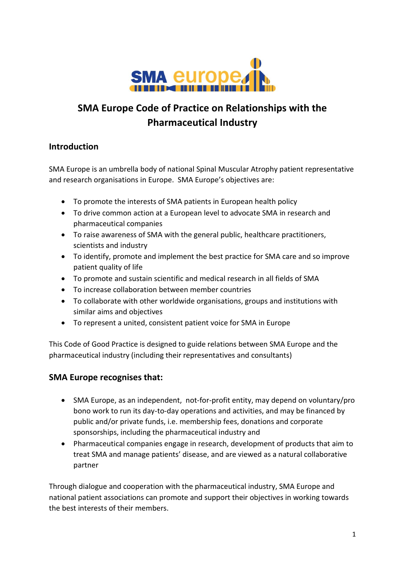

# **SMA Europe Code of Practice on Relationships with the Pharmaceutical Industry**

## **Introduction**

SMA Europe is an umbrella body of national Spinal Muscular Atrophy patient representative and research organisations in Europe. SMA Europe's objectives are:

- To promote the interests of SMA patients in European health policy
- To drive common action at a European level to advocate SMA in research and pharmaceutical companies
- To raise awareness of SMA with the general public, healthcare practitioners, scientists and industry
- To identify, promote and implement the best practice for SMA care and so improve patient quality of life
- To promote and sustain scientific and medical research in all fields of SMA
- To increase collaboration between member countries
- To collaborate with other worldwide organisations, groups and institutions with similar aims and objectives
- To represent a united, consistent patient voice for SMA in Europe

This Code of Good Practice is designed to guide relations between SMA Europe and the pharmaceutical industry (including their representatives and consultants)

## **SMA Europe recognises that:**

- SMA Europe, as an independent, not-for-profit entity, may depend on voluntary/pro bono work to run its day-to-day operations and activities, and may be financed by public and/or private funds, i.e. membership fees, donations and corporate sponsorships, including the pharmaceutical industry and
- Pharmaceutical companies engage in research, development of products that aim to treat SMA and manage patients' disease, and are viewed as a natural collaborative partner

Through dialogue and cooperation with the pharmaceutical industry, SMA Europe and national patient associations can promote and support their objectives in working towards the best interests of their members.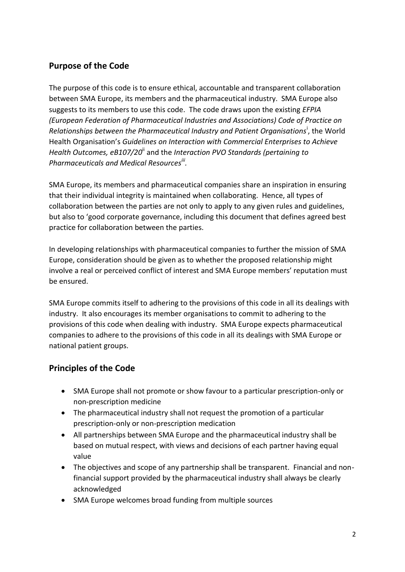## **Purpose of the Code**

The purpose of this code is to ensure ethical, accountable and transparent collaboration between SMA Europe, its members and the pharmaceutical industry. SMA Europe also suggests to its members to use this code. The code draws upon the existing *EFPIA (European Federation of Pharmaceutical Industries and Associations) Code of Practice on*  Relationships between the Pharmaceutical Industry and Patient Organisations<sup>i</sup>, the World Health Organisation's *Guidelines on Interaction with Commercial Enterprises to Achieve Health Outcomes, eB107/20*ii and the *Interaction PVO Standards (pertaining to Pharmaceuticals and Medical Resourcesiii .*

SMA Europe, its members and pharmaceutical companies share an inspiration in ensuring that their individual integrity is maintained when collaborating. Hence, all types of collaboration between the parties are not only to apply to any given rules and guidelines, but also to 'good corporate governance, including this document that defines agreed best practice for collaboration between the parties.

In developing relationships with pharmaceutical companies to further the mission of SMA Europe, consideration should be given as to whether the proposed relationship might involve a real or perceived conflict of interest and SMA Europe members' reputation must be ensured.

SMA Europe commits itself to adhering to the provisions of this code in all its dealings with industry. It also encourages its member organisations to commit to adhering to the provisions of this code when dealing with industry. SMA Europe expects pharmaceutical companies to adhere to the provisions of this code in all its dealings with SMA Europe or national patient groups.

## **Principles of the Code**

- SMA Europe shall not promote or show favour to a particular prescription-only or non-prescription medicine
- The pharmaceutical industry shall not request the promotion of a particular prescription-only or non-prescription medication
- All partnerships between SMA Europe and the pharmaceutical industry shall be based on mutual respect, with views and decisions of each partner having equal value
- The objectives and scope of any partnership shall be transparent. Financial and nonfinancial support provided by the pharmaceutical industry shall always be clearly acknowledged
- SMA Europe welcomes broad funding from multiple sources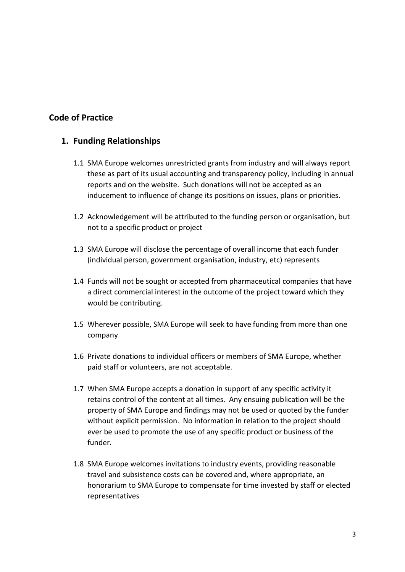## **Code of Practice**

## **1. Funding Relationships**

- 1.1 SMA Europe welcomes unrestricted grants from industry and will always report these as part of its usual accounting and transparency policy, including in annual reports and on the website. Such donations will not be accepted as an inducement to influence of change its positions on issues, plans or priorities.
- 1.2 Acknowledgement will be attributed to the funding person or organisation, but not to a specific product or project
- 1.3 SMA Europe will disclose the percentage of overall income that each funder (individual person, government organisation, industry, etc) represents
- 1.4 Funds will not be sought or accepted from pharmaceutical companies that have a direct commercial interest in the outcome of the project toward which they would be contributing.
- 1.5 Wherever possible, SMA Europe will seek to have funding from more than one company
- 1.6 Private donations to individual officers or members of SMA Europe, whether paid staff or volunteers, are not acceptable.
- 1.7 When SMA Europe accepts a donation in support of any specific activity it retains control of the content at all times. Any ensuing publication will be the property of SMA Europe and findings may not be used or quoted by the funder without explicit permission. No information in relation to the project should ever be used to promote the use of any specific product or business of the funder.
- 1.8 SMA Europe welcomes invitations to industry events, providing reasonable travel and subsistence costs can be covered and, where appropriate, an honorarium to SMA Europe to compensate for time invested by staff or elected representatives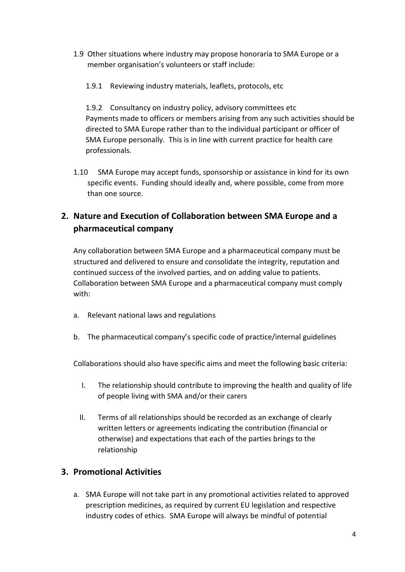- 1.9 Other situations where industry may propose honoraria to SMA Europe or a member organisation's volunteers or staff include:
	- 1.9.1 Reviewing industry materials, leaflets, protocols, etc

1.9.2 Consultancy on industry policy, advisory committees etc Payments made to officers or members arising from any such activities should be directed to SMA Europe rather than to the individual participant or officer of SMA Europe personally. This is in line with current practice for health care professionals.

1.10 SMA Europe may accept funds, sponsorship or assistance in kind for its own specific events. Funding should ideally and, where possible, come from more than one source.

## **2. Nature and Execution of Collaboration between SMA Europe and a pharmaceutical company**

Any collaboration between SMA Europe and a pharmaceutical company must be structured and delivered to ensure and consolidate the integrity, reputation and continued success of the involved parties, and on adding value to patients. Collaboration between SMA Europe and a pharmaceutical company must comply with:

- a. Relevant national laws and regulations
- b. The pharmaceutical company's specific code of practice/internal guidelines

Collaborations should also have specific aims and meet the following basic criteria:

- I. The relationship should contribute to improving the health and quality of life of people living with SMA and/or their carers
- II. Terms of all relationships should be recorded as an exchange of clearly written letters or agreements indicating the contribution (financial or otherwise) and expectations that each of the parties brings to the relationship

## **3. Promotional Activities**

a. SMA Europe will not take part in any promotional activities related to approved prescription medicines, as required by current EU legislation and respective industry codes of ethics. SMA Europe will always be mindful of potential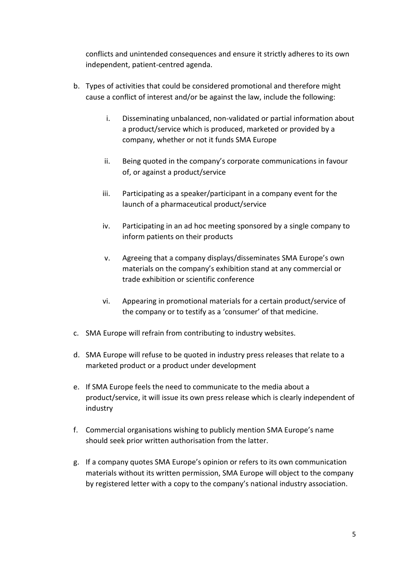conflicts and unintended consequences and ensure it strictly adheres to its own independent, patient-centred agenda.

- b. Types of activities that could be considered promotional and therefore might cause a conflict of interest and/or be against the law, include the following:
	- i. Disseminating unbalanced, non-validated or partial information about a product/service which is produced, marketed or provided by a company, whether or not it funds SMA Europe
	- ii. Being quoted in the company's corporate communications in favour of, or against a product/service
	- iii. Participating as a speaker/participant in a company event for the launch of a pharmaceutical product/service
	- iv. Participating in an ad hoc meeting sponsored by a single company to inform patients on their products
	- v. Agreeing that a company displays/disseminates SMA Europe's own materials on the company's exhibition stand at any commercial or trade exhibition or scientific conference
	- vi. Appearing in promotional materials for a certain product/service of the company or to testify as a 'consumer' of that medicine.
- c. SMA Europe will refrain from contributing to industry websites.
- d. SMA Europe will refuse to be quoted in industry press releases that relate to a marketed product or a product under development
- e. If SMA Europe feels the need to communicate to the media about a product/service, it will issue its own press release which is clearly independent of industry
- f. Commercial organisations wishing to publicly mention SMA Europe's name should seek prior written authorisation from the latter.
- g. If a company quotes SMA Europe's opinion or refers to its own communication materials without its written permission, SMA Europe will object to the company by registered letter with a copy to the company's national industry association.